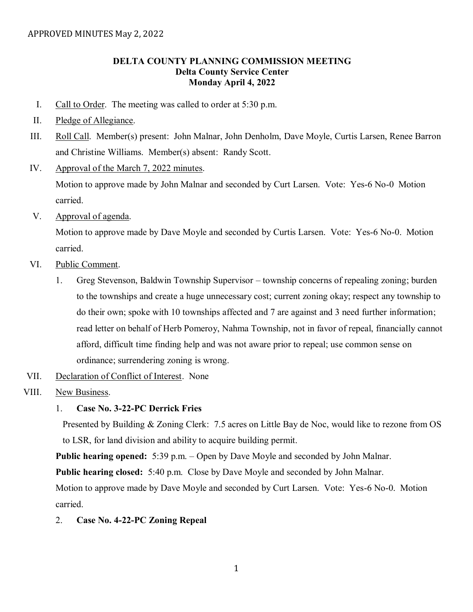# **DELTA COUNTY PLANNING COMMISSION MEETING Delta County Service Center Monday April 4, 2022**

- I. Call to Order. The meeting was called to order at 5:30 p.m.
- II. Pledge of Allegiance.
- III. Roll Call. Member(s) present: John Malnar, John Denholm, Dave Moyle, Curtis Larsen, Renee Barron and Christine Williams. Member(s) absent: Randy Scott.
- IV. Approval of the March 7, 2022 minutes.

Motion to approve made by John Malnar and seconded by Curt Larsen. Vote: Yes-6 No-0 Motion carried.

V. Approval of agenda.

Motion to approve made by Dave Moyle and seconded by Curtis Larsen. Vote: Yes-6 No-0. Motion carried.

- VI. Public Comment.
	- 1. Greg Stevenson, Baldwin Township Supervisor township concerns of repealing zoning; burden to the townships and create a huge unnecessary cost; current zoning okay; respect any township to do their own; spoke with 10 townships affected and 7 are against and 3 need further information; read letter on behalf of Herb Pomeroy, Nahma Township, not in favor of repeal, financially cannot afford, difficult time finding help and was not aware prior to repeal; use common sense on ordinance; surrendering zoning is wrong.
- VII. Declaration of Conflict of Interest. None
- VIII. New Business.

### 1. **Case No. 3-22-PC Derrick Fries**

Presented by Building & Zoning Clerk: 7.5 acres on Little Bay de Noc, would like to rezone from OS to LSR, for land division and ability to acquire building permit.

**Public hearing opened:** 5:39 p.m. – Open by Dave Moyle and seconded by John Malnar.

**Public hearing closed:** 5:40 p.m. Close by Dave Moyle and seconded by John Malnar.

Motion to approve made by Dave Moyle and seconded by Curt Larsen. Vote: Yes-6 No-0. Motion carried.

2. **Case No. 4-22-PC Zoning Repeal**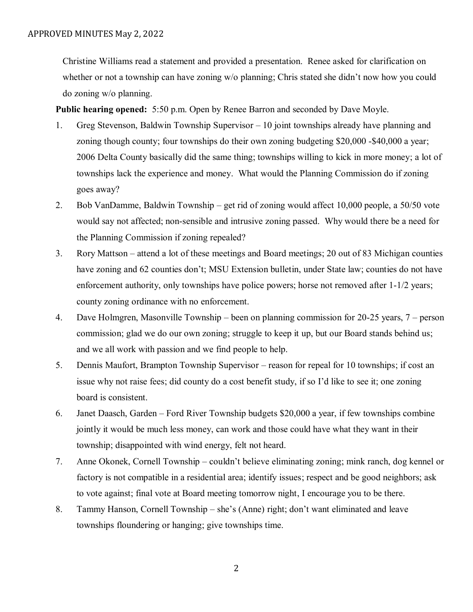Christine Williams read a statement and provided a presentation. Renee asked for clarification on whether or not a township can have zoning w/o planning; Chris stated she didn't now how you could do zoning w/o planning.

**Public hearing opened:** 5:50 p.m. Open by Renee Barron and seconded by Dave Moyle.

- 1. Greg Stevenson, Baldwin Township Supervisor 10 joint townships already have planning and zoning though county; four townships do their own zoning budgeting \$20,000 -\$40,000 a year; 2006 Delta County basically did the same thing; townships willing to kick in more money; a lot of townships lack the experience and money. What would the Planning Commission do if zoning goes away?
- 2. Bob VanDamme, Baldwin Township get rid of zoning would affect 10,000 people, a 50/50 vote would say not affected; non-sensible and intrusive zoning passed. Why would there be a need for the Planning Commission if zoning repealed?
- 3. Rory Mattson attend a lot of these meetings and Board meetings; 20 out of 83 Michigan counties have zoning and 62 counties don't; MSU Extension bulletin, under State law; counties do not have enforcement authority, only townships have police powers; horse not removed after 1-1/2 years; county zoning ordinance with no enforcement.
- 4. Dave Holmgren, Masonville Township been on planning commission for 20-25 years, 7 person commission; glad we do our own zoning; struggle to keep it up, but our Board stands behind us; and we all work with passion and we find people to help.
- 5. Dennis Maufort, Brampton Township Supervisor reason for repeal for 10 townships; if cost an issue why not raise fees; did county do a cost benefit study, if so I'd like to see it; one zoning board is consistent.
- 6. Janet Daasch, Garden Ford River Township budgets \$20,000 a year, if few townships combine jointly it would be much less money, can work and those could have what they want in their township; disappointed with wind energy, felt not heard.
- 7. Anne Okonek, Cornell Township couldn't believe eliminating zoning; mink ranch, dog kennel or factory is not compatible in a residential area; identify issues; respect and be good neighbors; ask to vote against; final vote at Board meeting tomorrow night, I encourage you to be there.
- 8. Tammy Hanson, Cornell Township she's (Anne) right; don't want eliminated and leave townships floundering or hanging; give townships time.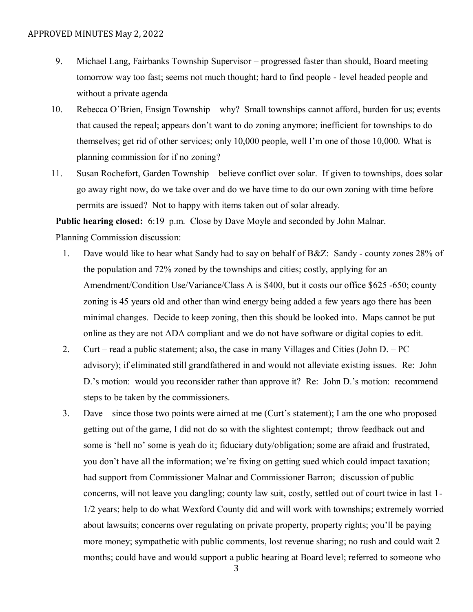- 9. Michael Lang, Fairbanks Township Supervisor progressed faster than should, Board meeting tomorrow way too fast; seems not much thought; hard to find people - level headed people and without a private agenda
- 10. Rebecca O'Brien, Ensign Township why? Small townships cannot afford, burden for us; events that caused the repeal; appears don't want to do zoning anymore; inefficient for townships to do themselves; get rid of other services; only 10,000 people, well I'm one of those 10,000. What is planning commission for if no zoning?
- 11. Susan Rochefort, Garden Township believe conflict over solar. If given to townships, does solar go away right now, do we take over and do we have time to do our own zoning with time before permits are issued? Not to happy with items taken out of solar already.

**Public hearing closed:** 6:19 p.m. Close by Dave Moyle and seconded by John Malnar.

Planning Commission discussion:

- 1. Dave would like to hear what Sandy had to say on behalf of B&Z: Sandy county zones 28% of the population and 72% zoned by the townships and cities; costly, applying for an Amendment/Condition Use/Variance/Class A is \$400, but it costs our office \$625 -650; county zoning is 45 years old and other than wind energy being added a few years ago there has been minimal changes. Decide to keep zoning, then this should be looked into. Maps cannot be put online as they are not ADA compliant and we do not have software or digital copies to edit.
- 2. Curt read a public statement; also, the case in many Villages and Cities (John D. PC advisory); if eliminated still grandfathered in and would not alleviate existing issues. Re: John D.'s motion: would you reconsider rather than approve it? Re: John D.'s motion: recommend steps to be taken by the commissioners.
- 3. Dave since those two points were aimed at me (Curt's statement); I am the one who proposed getting out of the game, I did not do so with the slightest contempt; throw feedback out and some is 'hell no' some is yeah do it; fiduciary duty/obligation; some are afraid and frustrated, you don't have all the information; we're fixing on getting sued which could impact taxation; had support from Commissioner Malnar and Commissioner Barron; discussion of public concerns, will not leave you dangling; county law suit, costly, settled out of court twice in last 1- 1/2 years; help to do what Wexford County did and will work with townships; extremely worried about lawsuits; concerns over regulating on private property, property rights; you'll be paying more money; sympathetic with public comments, lost revenue sharing; no rush and could wait 2 months; could have and would support a public hearing at Board level; referred to someone who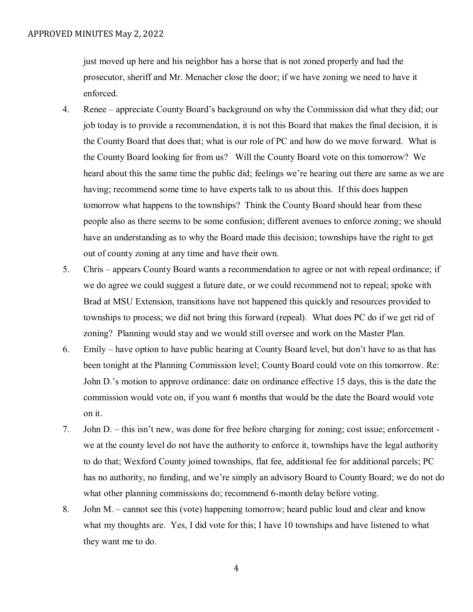just moved up here and his neighbor has a horse that is not zoned properly and had the prosecutor, sheriff and Mr. Menacher close the door; if we have zoning we need to have it enforced.

- 4. Renee appreciate County Board's background on why the Commission did what they did; our job today is to provide a recommendation, it is not this Board that makes the final decision, it is the County Board that does that; what is our role of PC and how do we move forward. What is the County Board looking for from us? Will the County Board vote on this tomorrow? We heard about this the same time the public did; feelings we're hearing out there are same as we are having; recommend some time to have experts talk to us about this. If this does happen tomorrow what happens to the townships? Think the County Board should hear from these people also as there seems to be some confusion; different avenues to enforce zoning; we should have an understanding as to why the Board made this decision; townships have the right to get out of county zoning at any time and have their own.
- 5. Chris appears County Board wants a recommendation to agree or not with repeal ordinance; if we do agree we could suggest a future date, or we could recommend not to repeal; spoke with Brad at MSU Extension, transitions have not happened this quickly and resources provided to townships to process; we did not bring this forward (repeal). What does PC do if we get rid of zoning? Planning would stay and we would still oversee and work on the Master Plan.
- 6. Emily have option to have public hearing at County Board level, but don't have to as that has been tonight at the Planning Commission level; County Board could vote on this tomorrow. Re: John D.'s motion to approve ordinance: date on ordinance effective 15 days, this is the date the commission would vote on, if you want 6 months that would be the date the Board would vote on it.
- 7. John D. this isn't new, was done for free before charging for zoning; cost issue; enforcement we at the county level do not have the authority to enforce it, townships have the legal authority to do that; Wexford County joined townships, flat fee, additional fee for additional parcels; PC has no authority, no funding, and we're simply an advisory Board to County Board; we do not do what other planning commissions do; recommend 6-month delay before voting.
- 8. John M. cannot see this (vote) happening tomorrow; heard public loud and clear and know what my thoughts are. Yes, I did vote for this; I have 10 townships and have listened to what they want me to do.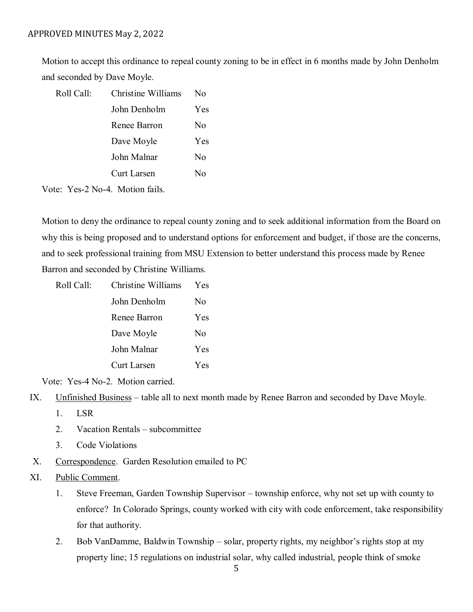#### APPROVED MINUTES May 2, 2022

Motion to accept this ordinance to repeal county zoning to be in effect in 6 months made by John Denholm and seconded by Dave Moyle.

| Roll Call: | Christine Williams | $\rm No$ |
|------------|--------------------|----------|
|            | John Denholm       | Yes      |
|            | Renee Barron       | No       |
|            | Dave Moyle         | Yes      |
|            | John Malnar        | No       |
|            | <b>Curt Larsen</b> | Nο       |
|            |                    |          |

Vote: Yes-2 No-4. Motion fails.

Motion to deny the ordinance to repeal county zoning and to seek additional information from the Board on why this is being proposed and to understand options for enforcement and budget, if those are the concerns, and to seek professional training from MSU Extension to better understand this process made by Renee Barron and seconded by Christine Williams.

| Roll Call: | Christine Williams | Yes            |
|------------|--------------------|----------------|
|            | John Denholm       | N <sub>0</sub> |
|            | Renee Barron       | Yes            |
|            | Dave Moyle         | No             |
|            | John Malnar        | Yes            |
|            | <b>Curt Larsen</b> | Yes            |

Vote: Yes-4 No-2. Motion carried.

- IX. Unfinished Business table all to next month made by Renee Barron and seconded by Dave Moyle.
	- 1. LSR
	- 2. Vacation Rentals subcommittee
	- 3. Code Violations
- X. Correspondence. Garden Resolution emailed to PC

### XI. Public Comment.

- 1. Steve Freeman, Garden Township Supervisor township enforce, why not set up with county to enforce? In Colorado Springs, county worked with city with code enforcement, take responsibility for that authority.
- 2. Bob VanDamme, Baldwin Township solar, property rights, my neighbor's rights stop at my property line; 15 regulations on industrial solar, why called industrial, people think of smoke